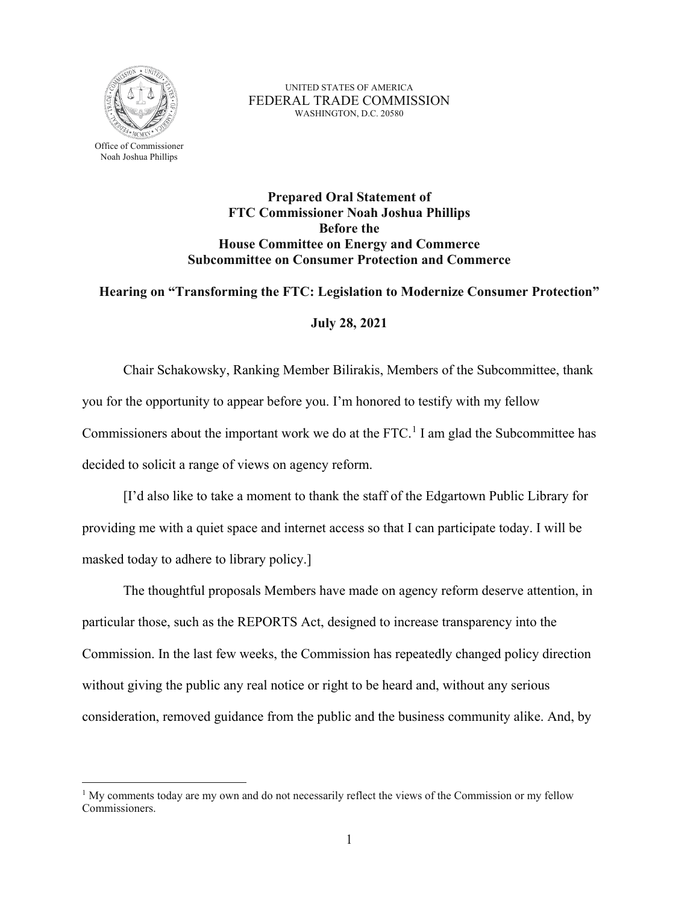

 $\overline{a}$ 

UNITED STATES OF AMERICA FEDERAL TRADE COMMISSION WASHINGTON, D.C. 20580

**Prepared Oral Statement of FTC Commissioner Noah Joshua Phillips Before the House Committee on Energy and Commerce Subcommittee on Consumer Protection and Commerce** 

## **Hearing on "Transforming the FTC: Legislation to Modernize Consumer Protection"**

## **July 28, 2021**

 you for the opportunity to appear before you. I'm honored to testify with my fellow Commissioners about the important work we do at the FTC.<sup>[1](#page-0-0)</sup> I am glad the Subcommittee has Chair Schakowsky, Ranking Member Bilirakis, Members of the Subcommittee, thank decided to solicit a range of views on agency reform.

 [I'd also like to take a moment to thank the staff of the Edgartown Public Library for providing me with a quiet space and internet access so that I can participate today. I will be masked today to adhere to library policy.]

 The thoughtful proposals Members have made on agency reform deserve attention, in consideration, removed guidance from the public and the business community alike. And, by particular those, such as the REPORTS Act, designed to increase transparency into the Commission. In the last few weeks, the Commission has repeatedly changed policy direction without giving the public any real notice or right to be heard and, without any serious

<span id="page-0-0"></span><sup>&</sup>lt;sup>1</sup> My comments today are my own and do not necessarily reflect the views of the Commission or my fellow Commissioners.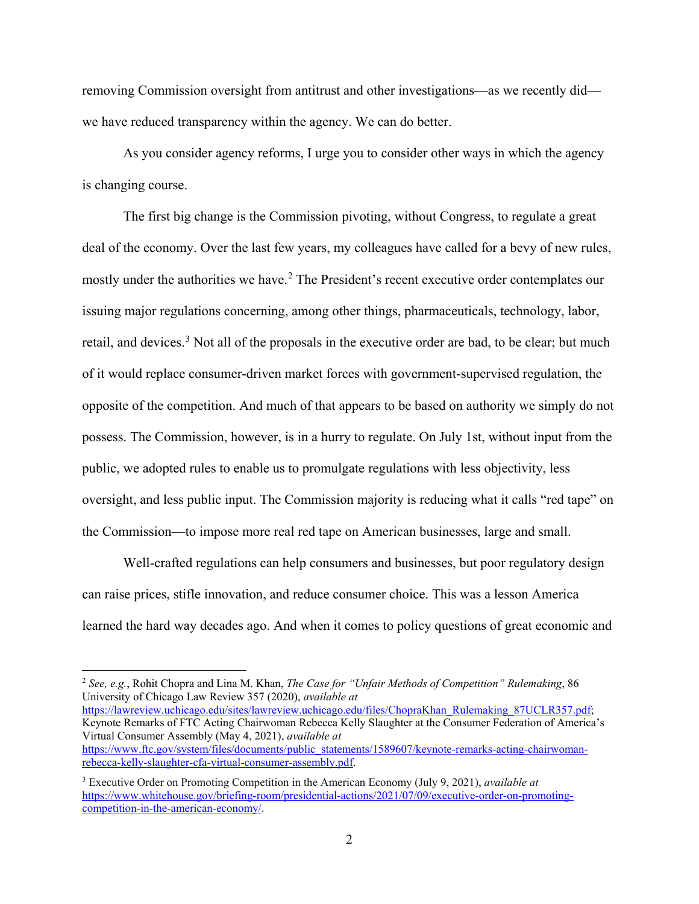removing Commission oversight from antitrust and other investigations—as we recently did we have reduced transparency within the agency. We can do better.

 As you consider agency reforms, I urge you to consider other ways in which the agency is changing course.

 is changing course. The first big change is the Commission pivoting, without Congress, to regulate a great retail, and devices.<sup>[3](#page-1-1)</sup> Not all of the proposals in the executive order are bad, to be clear; but much opposite of the competition. And much of that appears to be based on authority we simply do not oversight, and less public input. The Commission majority is reducing what it calls "red tape" on the Commission—to impose more real red tape on American businesses, large and small. deal of the economy. Over the last few years, my colleagues have called for a bevy of new rules, mostly under the authorities we have.<sup>[2](#page-1-0)</sup> The President's recent executive order contemplates our issuing major regulations concerning, among other things, pharmaceuticals, technology, labor, of it would replace consumer-driven market forces with government-supervised regulation, the possess. The Commission, however, is in a hurry to regulate. On July 1st, without input from the public, we adopted rules to enable us to promulgate regulations with less objectivity, less

Well-crafted regulations can help consumers and businesses, but poor regulatory design can raise prices, stifle innovation, and reduce consumer choice. This was a lesson America learned the hard way decades ago. And when it comes to policy questions of great economic and

<span id="page-1-0"></span> University of Chicago Law Review 357 (2020), *available at*  <sup>2</sup>*See, e.g.*, Rohit Chopra and Lina M. Khan, *The Case for "Unfair Methods of Competition" Rulemaking*, 86 [https://lawreview.uchicago.edu/sites/lawreview.uchicago.edu/files/ChopraKhan\\_Rulemaking\\_87UCLR357.pdf;](https://lawreview.uchicago.edu/sites/lawreview.uchicago.edu/files/ChopraKhan_Rulemaking_87UCLR357.pdf)

 $\overline{a}$ 

 Keynote Remarks of FTC Acting Chairwoman Rebecca Kelly Slaughter at the Consumer Federation of America's Virtual Consumer Assembly (May 4, 2021), *available at*  [https://www.ftc.gov/system/files/documents/public\\_statements/1589607/keynote-remarks-acting-chairwoman](https://www.ftc.gov/system/files/documents/public_statements/1589607/keynote-remarks-acting-chairwoman-rebecca-kelly-slaughter-cfa-virtual-consumer-assembly.pdf)[rebecca-kelly-slaughter-cfa-virtual-consumer-assembly.pdf.](https://www.ftc.gov/system/files/documents/public_statements/1589607/keynote-remarks-acting-chairwoman-rebecca-kelly-slaughter-cfa-virtual-consumer-assembly.pdf) 

<span id="page-1-1"></span> 3 Executive Order on Promoting Competition in the American Economy (July 9, 2021), *available at*  [https://www.whitehouse.gov/briefing-room/presidential-actions/2021/07/09/executive-order-on-promoting](https://www.whitehouse.gov/briefing-room/presidential-actions/2021/07/09/executive-order-on-promoting-competition-in-the-american-economy/)[competition-in-the-american-economy/.](https://www.whitehouse.gov/briefing-room/presidential-actions/2021/07/09/executive-order-on-promoting-competition-in-the-american-economy/)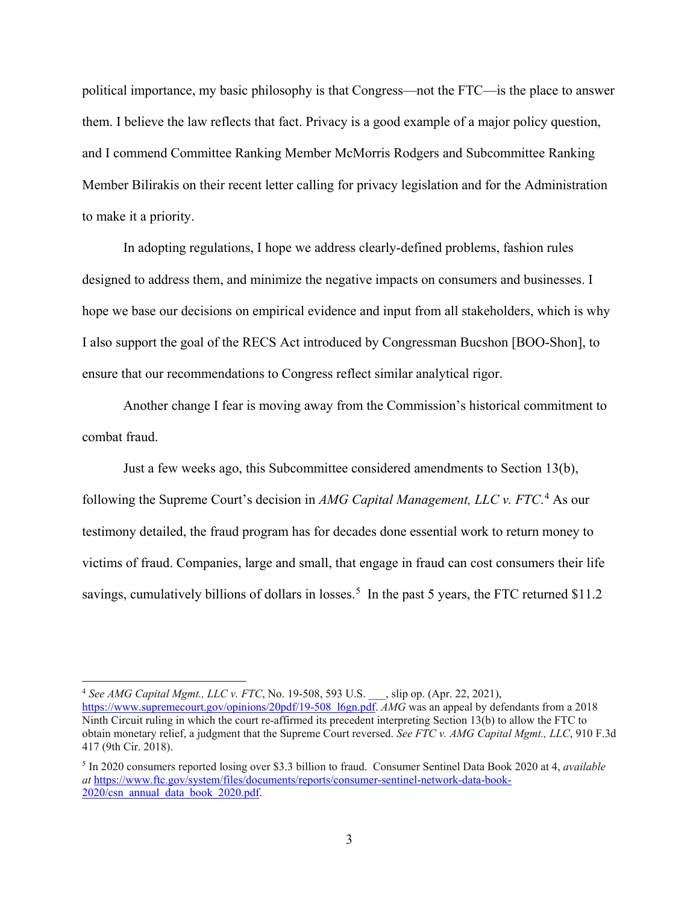political importance, my basic philosophy is that Congress—not the FTC—is the place to answer them. I believe the law reflects that fact. Privacy is a good example of a major policy question, Member Bilirakis on their recent letter calling for privacy legislation and for the Administration and I commend Committee Ranking Member McMorris Rodgers and Subcommittee Ranking to make it a priority.

 I also support the goal of the RECS Act introduced by Congressman Bucshon [BOO-Shon], to In adopting regulations, I hope we address clearly-defined problems, fashion rules designed to address them, and minimize the negative impacts on consumers and businesses. I hope we base our decisions on empirical evidence and input from all stakeholders, which is why ensure that our recommendations to Congress reflect similar analytical rigor.

Another change I fear is moving away from the Commission's historical commitment to combat fraud.

 victims of fraud. Companies, large and small, that engage in fraud can cost consumers their life savings, cumulatively billions of dollars in losses.<sup>5</sup> In the past [5](#page-2-1) years, the FTC returned \$11.2 Just a few weeks ago, this Subcommittee considered amendments to Section 13(b), following the Supreme Court's decision in *AMG Capital Management, LLC v. FTC*. [4](#page-2-0) As our testimony detailed, the fraud program has for decades done essential work to return money to

<span id="page-2-0"></span> $\overline{a}$  [https://www.supremecourt.gov/opinions/20pdf/19-508\\_l6gn.pdf.](https://www.supremecourt.gov/opinions/20pdf/19-508_l6gn.pdf) *AMG* was an appeal by defendants from a 2018 Ninth Circuit ruling in which the court re-affirmed its precedent interpreting Section 13(b) to allow the FTC to obtain monetary relief, a judgment that the Supreme Court reversed. *See FTC v. AMG Capital Mgmt., LLC*, 910 F.3d <sup>4</sup>*See AMG Capital Mgmt., LLC v. FTC*, No. 19-508, 593 U.S. \_\_\_, slip op. (Apr. 22, 2021), 417 (9th Cir. 2018).

<span id="page-2-1"></span> 5 In 2020 consumers reported losing over \$3.3 billion to fraud. Consumer Sentinel Data Book 2020 at 4, *available at* [https://www.ftc.gov/system/files/documents/reports/consumer-sentinel-network-data-book-](https://www.ftc.gov/system/files/documents/reports/consumer-sentinel-network-data-book-2020/csn_annual_data_book_2020.pdf)[2020/csn\\_annual\\_data\\_book\\_2020.pdf.](https://www.ftc.gov/system/files/documents/reports/consumer-sentinel-network-data-book-2020/csn_annual_data_book_2020.pdf)